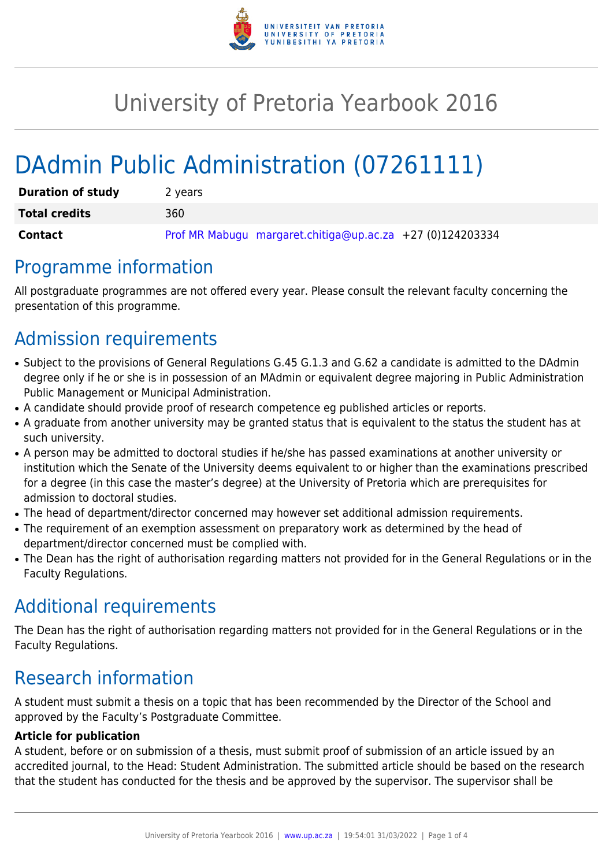

# University of Pretoria Yearbook 2016

# DAdmin Public Administration (07261111)

| <b>Duration of study</b> | 2 years                                                   |
|--------------------------|-----------------------------------------------------------|
| <b>Total credits</b>     | 360                                                       |
| <b>Contact</b>           | Prof MR Mabugu margaret.chitiga@up.ac.za +27 (0)124203334 |

### Programme information

All postgraduate programmes are not offered every year. Please consult the relevant faculty concerning the presentation of this programme.

## Admission requirements

- Subject to the provisions of General Regulations G.45 G.1.3 and G.62 a candidate is admitted to the DAdmin degree only if he or she is in possession of an MAdmin or equivalent degree majoring in Public Administration Public Management or Municipal Administration.
- A candidate should provide proof of research competence eg published articles or reports.
- A graduate from another university may be granted status that is equivalent to the status the student has at such university.
- A person may be admitted to doctoral studies if he/she has passed examinations at another university or institution which the Senate of the University deems equivalent to or higher than the examinations prescribed for a degree (in this case the master's degree) at the University of Pretoria which are prerequisites for admission to doctoral studies.
- The head of department/director concerned may however set additional admission requirements.
- The requirement of an exemption assessment on preparatory work as determined by the head of department/director concerned must be complied with.
- The Dean has the right of authorisation regarding matters not provided for in the General Regulations or in the Faculty Regulations.

## Additional requirements

The Dean has the right of authorisation regarding matters not provided for in the General Regulations or in the Faculty Regulations.

## Research information

A student must submit a thesis on a topic that has been recommended by the Director of the School and approved by the Faculty's Postgraduate Committee.

#### **Article for publication**

A student, before or on submission of a thesis, must submit proof of submission of an article issued by an accredited journal, to the Head: Student Administration. The submitted article should be based on the research that the student has conducted for the thesis and be approved by the supervisor. The supervisor shall be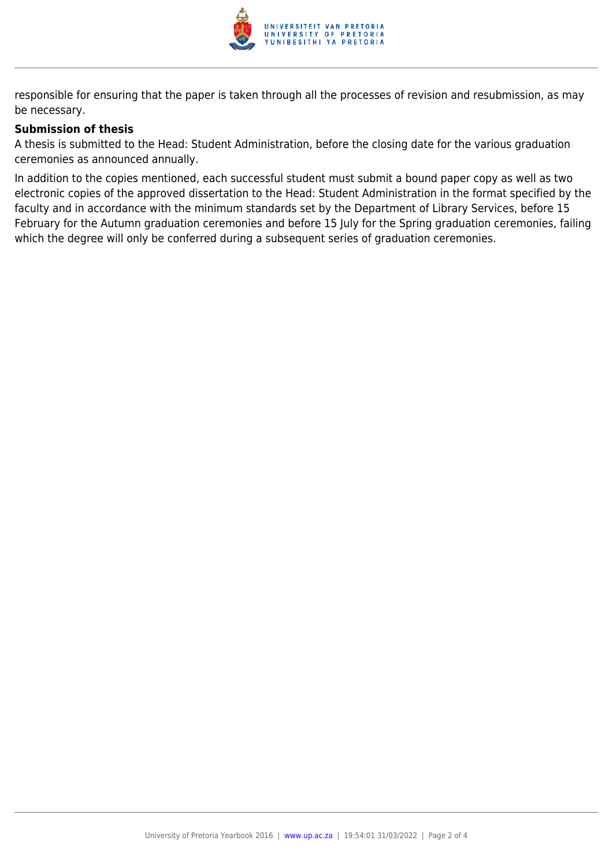

responsible for ensuring that the paper is taken through all the processes of revision and resubmission, as may be necessary.

#### **Submission of thesis**

A thesis is submitted to the Head: Student Administration, before the closing date for the various graduation ceremonies as announced annually.

In addition to the copies mentioned, each successful student must submit a bound paper copy as well as two electronic copies of the approved dissertation to the Head: Student Administration in the format specified by the faculty and in accordance with the minimum standards set by the Department of Library Services, before 15 February for the Autumn graduation ceremonies and before 15 July for the Spring graduation ceremonies, failing which the degree will only be conferred during a subsequent series of graduation ceremonies.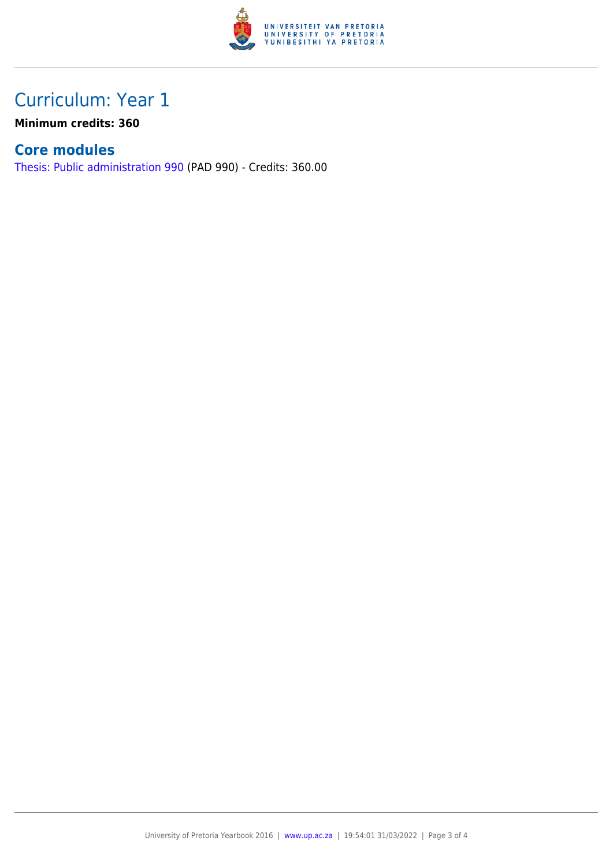

### Curriculum: Year 1

**Minimum credits: 360**

### **Core modules**

[Thesis: Public administration 990](https://www.up.ac.za/parents/yearbooks/2016/modules/view/PAD 990) (PAD 990) - Credits: 360.00